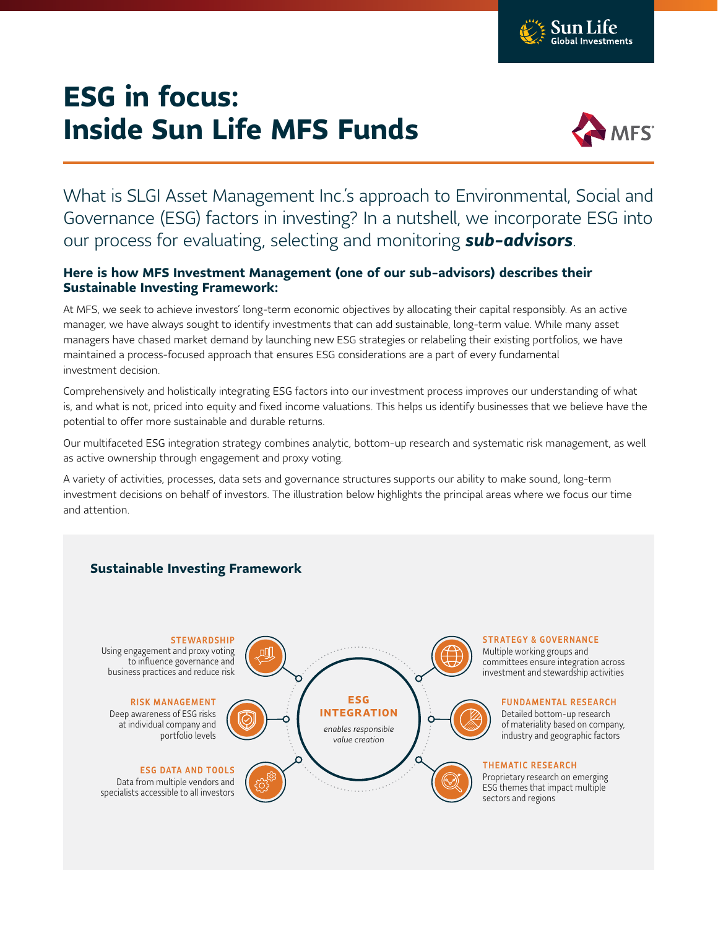

## **ESG in focus: Inside Sun Life MFS Funds**



What is SLGI Asset Management Inc.'s approach to Environmental, Social and Governance (ESG) factors in investing? In a nutshell, we incorporate ESG into our process for evaluating, selecting and monitoring *sub-advisors*.

## **Here is how MFS Investment Management (one of our sub-advisors) describes their Sustainable Investing Framework:**

At MFS, we seek to achieve investors' long-term economic objectives by allocating their capital responsibly. As an active manager, we have always sought to identify investments that can add sustainable, long-term value. While many asset managers have chased market demand by launching new ESG strategies or relabeling their existing portfolios, we have maintained a process-focused approach that ensures ESG considerations are a part of every fundamental investment decision.

Comprehensively and holistically integrating ESG factors into our investment process improves our understanding of what is, and what is not, priced into equity and fixed income valuations. This helps us identify businesses that we believe have the potential to offer more sustainable and durable returns.

Our multifaceted ESG integration strategy combines analytic, bottom-up research and systematic risk management, as well as active ownership through engagement and proxy voting.

A variety of activities, processes, data sets and governance structures supports our ability to make sound, long-term investment decisions on behalf of investors. The illustration below highlights the principal areas where we focus our time and attention.